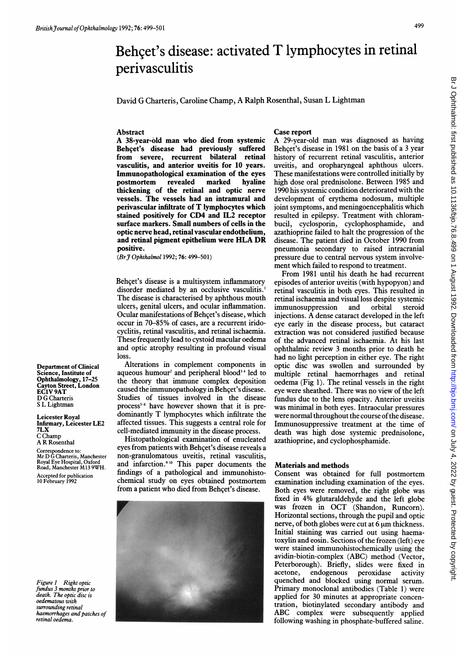# Behcet's disease: activated T lymphocytes in retinal perivasculitis

David G Charteris, Caroline Champ, A Ralph Rosenthal, Susan L Lightman

# Abstract

A 38-year-old man who died from systemic Behçet's disease had previously suffered from severe, recurrent bilateral retinal vasculitis, and anterior uveitis for 10 years. Immunopathological examination of the eyes postmortem revealed marked hyaline thickening of the retinal and optic nerve vessels. The vessels had an intramural and perivascular infiltrate of T lymphocytes which stained positively for CD4 and IL2 receptor surface markers. Small numbers of cells in the optic nerve head, retinal vascular endothelium, and retinal pigment epithelium were HLA DR positive.

(Br 7 Ophthalmol 1992; 76: 499-501)

Behcet's disease is a multisystem inflammatory disorder mediated by an occlusive vasculitis.' The disease is characterised by aphthous mouth ulcers, genital ulcers, and ocular inflammation. Ocular manifestations of Behcet's disease, which occur in 70-85% of cases, are a recurrent iridocyclitis, retinal vasculitis, and retinal ischaemia. These frequently lead to cystoid macular oedema and optic atrophy resulting in profound visual loss.

Alterations in complement components in aqueous humour<sup>2</sup> and peripheral blood<sup>34</sup> led to the theory that immune complex deposition caused the immunopathology in Behcet's disease. Studies of tissues involved in the disease process<sup> $5-8$ </sup> have however shown that it is predominantly T lymphocytes which infiltrate the affected tissues. This suggests a central role for cell-mediated immunity in the disease process.

Histopathological examination of enucleated eyes from patients with Behcet's disease reveals a non-granulomatous uveitis, retinal vasculitis, and infarction.<sup>910</sup> This paper documents the findings of a pathological and immunohistochemical study on eyes obtained postmortem from a patient who died from Behcet's disease.



## Case report

A 29-year-old man was diagnosed as having Behcet's disease in 1981 on the basis of a 3 year history of recurrent retinal vasculitis, anterior uveitis, and oropharyngeal aphthous ulcers. These manifestations were controlled initially by high dose oral prednisolone. Between 1985 and 1990 his systemic condition deteriorated with the development of erythema nodosum, multiple joint symptoms, and meningoencephalitis which resulted in epilepsy. Treatment with chlorambucil, cyclosporin, cyclophosphamide, and azathioprine failed to halt the progression of the disease. The patient died in October 1990 from pneumonia secondary to raised intracranial pressure due to central nervous system involvement which failed to respond to treatment.

From 1981 until his death he had recurrent episodes of anterior uveitis (with hypopyon) and retinal vasculitis in both eyes. This resulted in retinal ischaemia and visual loss despite systemic immunosuppression and orbital steroid injections. A dense cataract developed in the left eye early in the disease process, but cataract extraction was not considered justified because of the advanced retinal ischaemia. At his last ophthalmic review 3 months prior to death he had no light perception in either eye. The right optic disc was swollen and surrounded by multiple retinal haemorrhages and retinal oedema (Fig 1). The retinal vessels in the right eye were sheathed. There was no view of the left fundus due to the lens opacity. Anterior uveitis was minimal in both eyes. Intraocular pressures were normal throughout the course of the disease. Immunosuppressive treatment at the time of death was high dose systemic prednisolone, azathioprine, and cyclophosphamide.

# Materials and methods

Consent was obtained for full postmortem examination including examination of the eyes. Both eyes were removed, the right globe was fixed in 4% glutaraldehyde and the left globe was frozen in OCT (Shandon, Runcorn). Horizontal sections, through the pupil and optic nerve, of both globes were cut at  $6 \mu m$  thickness. Initial staining was carried out using haematoxylin and eosin. Sections of the frozen (left) eye were stained immunohistochemically using the avidin-biotin-complex (ABC) method (Vector, Peterborough). Briefly, slides were fixed in acetone, endogenous peroxidase activity quenched and blocked using normal serum. Primary monoclonal antibodies (Table 1) were applied for 30 minutes at appropriate concentration, biotinylated secondary antibody and ABC complex were subsequently applied following washing in phosphate-buffered saline.

Department of Clinical Science, Institute of Ophthalmology, 17-25 ayton Street, London EC1V 9AT D G Charteris <sup>S</sup> L Lightman

Leicester Royal Infirmary, Leicester LE2 7LX C Champ A R Rosenthal

Correspondence to: Mr D G Charteris, Manchester Royal Eye Hospital, Oxford Road, Manchester M<sup>13</sup> 9WH. Accepted for publication 10 February 1992

Figure 1 Right optic fundus 3 months prior to death. The optic disc is oedematous with surrounding retinal haemorrhages and patches of retinal oedema.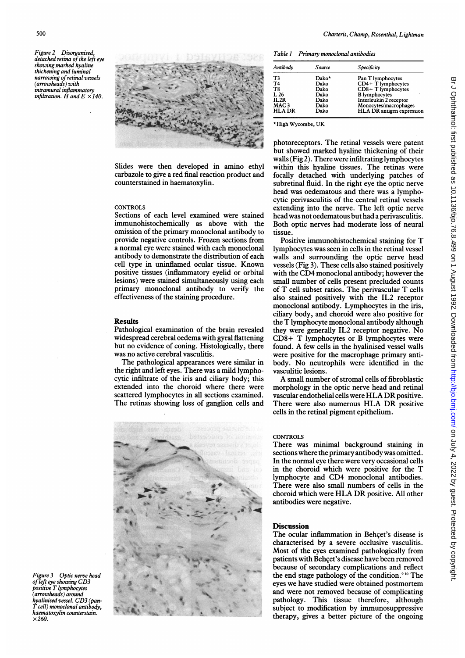Figure 2 Disorganised, detached retina of the left eye showing marked hyaline thickening and luminal narrowing of retinal vessels  $(\textit{arrowheads})$  with intramural inflammatory infiltration. H and  $E \times 140$ .



Slides were then developed in amino ethyl carbazole to give a red final reaction product and counterstained in haematoxylin.

#### **CONTROLS**

Sections of each level examined were stained immunohistochemically as above with the omission of the primary monoclonal antibody to provide negative controls. Frozen sections from a normal eye were stained with each monoclonal antibody to demonstrate the distribution of each cell type in uninflamed ocular tissue. Known positive tissues (inflammatory eyelid or orbital lesions) were stained simultaneously using each primary monoclonal antibody to verify the effectiveness of the staining procedure.

### Results

Pathological examination of the brain revealed widespread cerebral oedema with gyral flattening but no evidence of coning. Histologically, there was no active cerebral vasculitis.

The pathological appearances were similar in the right and left eyes. There was a mild lymphocytic infiltrate of the iris and ciliary body; this extended into the choroid where there were scattered lymphocytes in all sections examined. The retinas showing loss of ganglion cells and



Table I Primary monoclonal antibodies

| Antibody         | Source | Specificity               |
|------------------|--------|---------------------------|
| T3               | Dako*  | Pan T lymphocytes         |
| T <sub>4</sub>   | Dako   | $CD4+T$ lymphocytes       |
| T8               | Dako   | CD8+ T lymphocytes        |
| L <sub>26</sub>  | Dako   | <b>B</b> lymphocytes      |
| IL2R             | Dako   | Interleukin 2 receptor    |
| MAC <sub>3</sub> | Dako   | Monocytes/macrophages     |
| <b>HLA DR</b>    | Dako   | HLA DR antigen expression |

\*High Wycombe, UK

photoreceptors. The retinal vessels were patent but showed marked hyaline thickening of their walls (Fig 2). There were infiltrating lymphocytes within this hyaline tissues. The retinas were focally detached with underlying patches of subretinal fluid. In the right eye the optic nerve head was oedematous and there was a lymphocytic perivasculitis of the central retinal vessels extending into the nerve. The left optic nerve head was not oedematous but had a perivasculitis. Both optic nerves had moderate loss of neural tissue.

Positive immunohistochemical staining for T lymphocytes was seen in cells in the retinal vessel walls and surrounding the optic nerve head vessels (Fig 3). These cells also stained positively with the CD4 monoclonal antibody; however the small number of cells present precluded counts of T cell subset ratios. The perivascular T cells also stained positively with the IL2 receptor monoclonal antibody. Lymphocytes in the iris, ciliary body, and choroid were also positive for the T lymphocyte monoclonal antibody although they were generally IL2 receptor negative. No CD8+ T lymphocytes or B lymphocytes were found. A few cells in the hyalinised vessel walls were positive for the macrophage primary antibody. No neutrophils were identified in the vasculitic lesions.

A small number of stromal cells of fibroblastic morphology in the optic nerve head and retinal vascular endothelial cells were HLA DR positive. There were also numerous HLA DR positive cells in the retinal pigment epithelium.

CONTROLS

There was minimal background staining in sections where the primary antibody was omitted. In the normal eve there were very occasional cells in the choroid which were positive for the T lymphocyte and CD4 monoclonal antibodies. There were also small numbers of cells in the choroid which were HLA DR positive. All other antibodies were negative.

# **Discussion**

The ocular inflammation in Behqet's disease is characterised by a severe occlusive vasculitis. Most of the eyes examined pathologically from patients with Behçet's disease have been removed because of secondary complications and reflect the end stage pathology of the condition.<sup>910</sup> The eyes we have studied were obtained postmortem and were not removed because of complicating pathology. This tissue therefore, although subject to modification by immunosuppressive therapy, gives a better picture of the ongoing